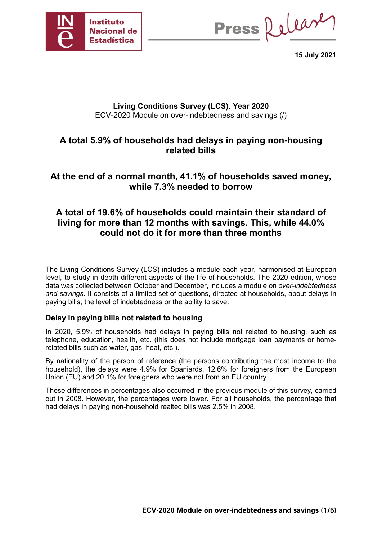

Press Release

**15 July 2021**

### **Living Conditions Survey (LCS). Year 2020** ECV-2020 Module on over-indebtedness and savings (/)

# **A total 5.9% of households had delays in paying non-housing related bills**

# **At the end of a normal month, 41.1% of households saved money, while 7.3% needed to borrow**

# **A total of 19.6% of households could maintain their standard of living for more than 12 months with savings. This, while 44.0% could not do it for more than three months**

The Living Conditions Survey (LCS) includes a module each year, harmonised at European level, to study in depth different aspects of the life of households. The 2020 edition, whose data was collected between October and December, includes a module on *over-indebtedness and savings*. It consists of a limited set of questions, directed at households, about delays in paying bills, the level of indebtedness or the ability to save.

## **Delay in paying bills not related to housing**

In 2020, 5.9% of households had delays in paying bills not related to housing, such as telephone, education, health, etc. (this does not include mortgage loan payments or homerelated bills such as water, gas, heat, etc.).

By nationality of the person of reference (the persons contributing the most income to the household), the delays were 4.9% for Spaniards, 12.6% for foreigners from the European Union (EU) and 20.1% for foreigners who were not from an EU country.

These differences in percentages also occurred in the previous module of this survey, carried out in 2008. However, the percentages were lower. For all households, the percentage that had delays in paying non-household realted bills was 2.5% in 2008.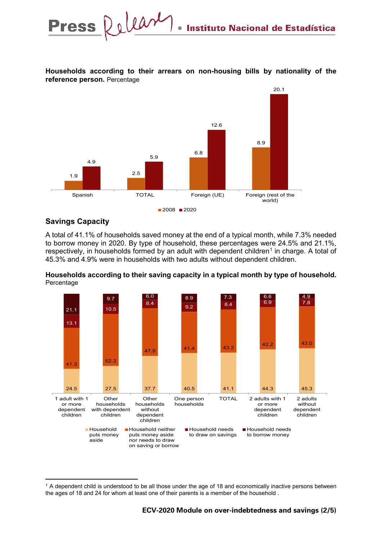

**Households according to their arrears on non-housing bills by nationality of the reference person.** Percentage

## **Savings Capacity**

-

A total of 41.1% of households saved money at the end of a typical month, while 7.3% needed to borrow money in 2020. By type of household, these percentages were 24.5% and 21.1%, respectively, in households formed by an adult with dependent children<sup>[1](#page-1-0)</sup> in charge. A total of 45.3% and 4.9% were in households with two adults without dependent children.





<span id="page-1-0"></span> $1$  A dependent child is understood to be all those under the age of 18 and economically inactive persons between the ages of 18 and 24 for whom at least one of their parents is a member of the household .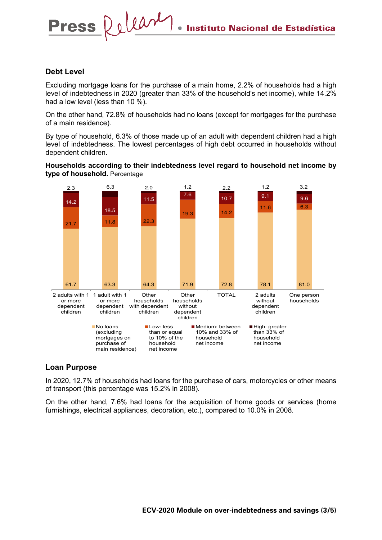#### **Debt Level**

Press Release

Excluding mortgage loans for the purchase of a main home, 2.2% of households had a high level of indebtedness in 2020 (greater than 33% of the household's net income), while 14.2% had a low level (less than 10 %).

On the other hand, 72.8% of households had no loans (except for mortgages for the purchase of a main residence).

By type of household, 6.3% of those made up of an adult with dependent children had a high level of indebtedness. The lowest percentages of high debt occurred in households without dependent children.

#### **Households according to their indebtedness level regard to household net income by type of household.** Percentage



#### **Loan Purpose**

In 2020, 12.7% of households had loans for the purchase of cars, motorcycles or other means of transport (this percentage was 15.2% in 2008).

On the other hand, 7.6% had loans for the acquisition of home goods or services (home furnishings, electrical appliances, decoration, etc.), compared to 10.0% in 2008.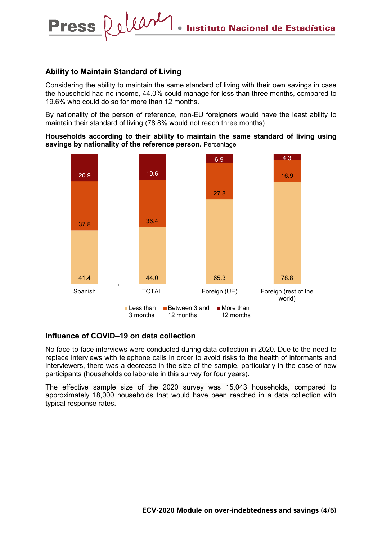#### **Ability to Maintain Standard of Living**

Press Relear

Considering the ability to maintain the same standard of living with their own savings in case the household had no income, 44.0% could manage for less than three months, compared to 19.6% who could do so for more than 12 months.

By nationality of the person of reference, non-EU foreigners would have the least ability to maintain their standard of living (78.8% would not reach three months).

**Households according to their ability to maintain the same standard of living using savings by nationality of the reference person.** Percentage



#### **Influence of COVID–19 on data collection**

No face-to-face interviews were conducted during data collection in 2020. Due to the need to replace interviews with telephone calls in order to avoid risks to the health of informants and interviewers, there was a decrease in the size of the sample, particularly in the case of new participants (households collaborate in this survey for four years).

The effective sample size of the 2020 survey was 15,043 households, compared to approximately 18,000 households that would have been reached in a data collection with typical response rates.